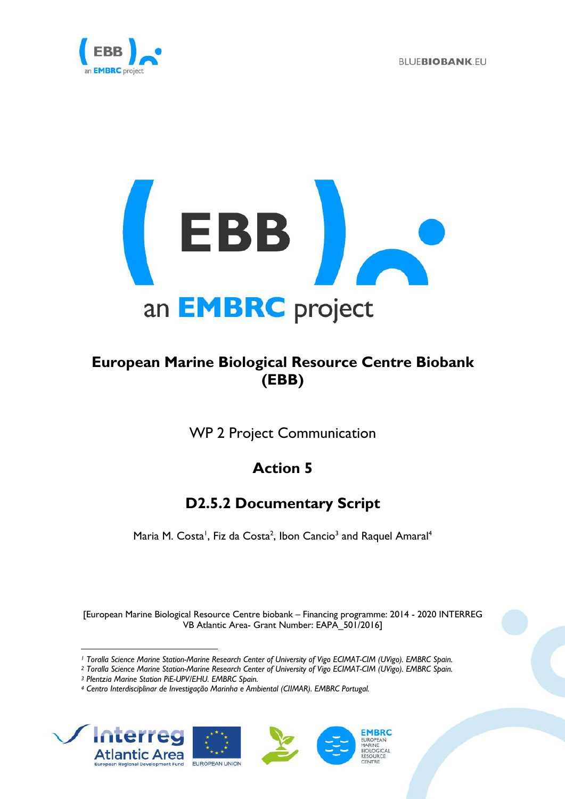



## **European Marine Biological Resource Centre Biobank (EBB)**

WP 2 Project Communication

# **Action 5**

## **D2.5.2 Documentary Script**

Maria M. Costa<sup>1</sup>, Fiz da Costa<sup>2</sup>, Ibon Cancio<sup>3</sup> and Raquel Amaral<sup>4</sup>

[European Marine Biological Resource Centre biobank – Financing programme: 2014 - 2020 INTERREG VB Atlantic Area- Grant Number: EAPA\_501/2016]

*<sup>4</sup> Centro Interdisciplinar de Investigação Marinha e Ambiental (CIIMAR). EMBRC Portugal.*



*<sup>1</sup> Toralla Science Marine Station-Marine Research Center of University of Vigo ECIMAT-CIM (UVigo). EMBRC Spain.*

*<sup>2</sup> Toralla Science Marine Station-Marine Research Center of University of Vigo ECIMAT-CIM (UVigo). EMBRC Spain.*

*<sup>3</sup> Plentzia Marine Station PiE-UPV/EHU. EMBRC Spain.*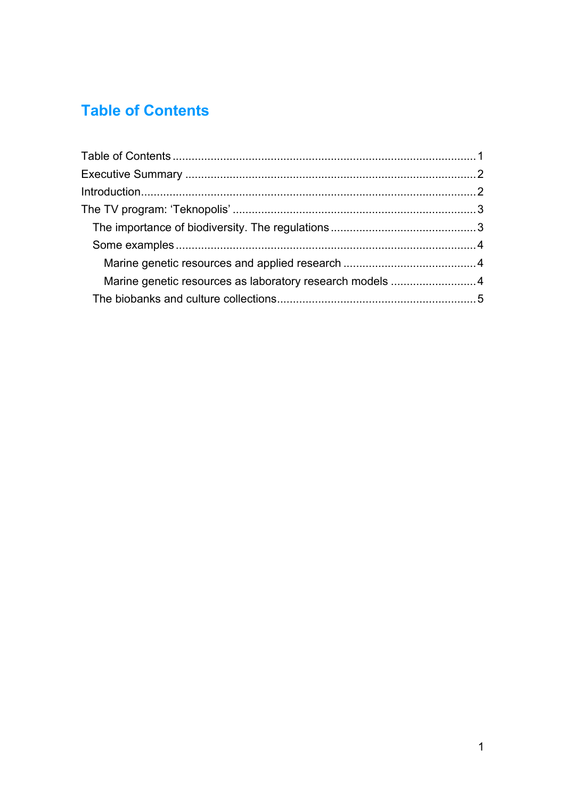# **Table of Contents**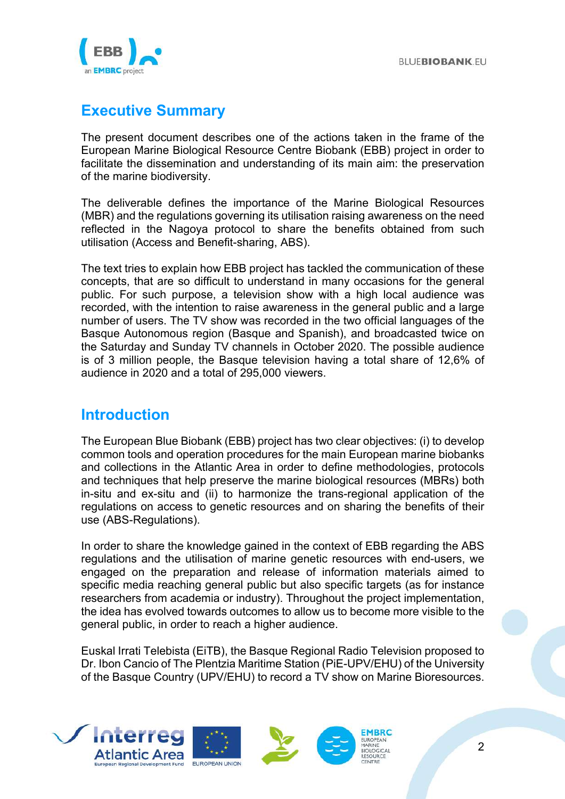

### **Executive Summary**

The present document describes one of the actions taken in the frame of the European Marine Biological Resource Centre Biobank (EBB) project in order to facilitate the dissemination and understanding of its main aim: the preservation of the marine biodiversity.

The deliverable defines the importance of the Marine Biological Resources (MBR) and the regulations governing its utilisation raising awareness on the need reflected in the Nagoya protocol to share the benefits obtained from such utilisation (Access and Benefit-sharing, ABS).

The text tries to explain how EBB project has tackled the communication of these concepts, that are so difficult to understand in many occasions for the general public. For such purpose, a television show with a high local audience was recorded, with the intention to raise awareness in the general public and a large number of users. The TV show was recorded in the two official languages of the Basque Autonomous region (Basque and Spanish), and broadcasted twice on the Saturday and Sunday TV channels in October 2020. The possible audience is of 3 million people, the Basque television having a total share of 12,6% of audience in 2020 and a total of 295,000 viewers.

### **Introduction**

The European Blue Biobank (EBB) project has two clear objectives: (i) to develop common tools and operation procedures for the main European marine biobanks and collections in the Atlantic Area in order to define methodologies, protocols and techniques that help preserve the marine biological resources (MBRs) both in-situ and ex-situ and (ii) to harmonize the trans-regional application of the regulations on access to genetic resources and on sharing the benefits of their use (ABS-Regulations).

In order to share the knowledge gained in the context of EBB regarding the ABS regulations and the utilisation of marine genetic resources with end-users, we engaged on the preparation and release of information materials aimed to specific media reaching general public but also specific targets (as for instance researchers from academia or industry). Throughout the project implementation, the idea has evolved towards outcomes to allow us to become more visible to the general public, in order to reach a higher audience.

Euskal Irrati Telebista (EiTB), the Basque Regional Radio Television proposed to Dr. Ibon Cancio of The Plentzia Maritime Station (PiE-UPV/EHU) of the University of the Basque Country (UPV/EHU) to record a TV show on Marine Bioresources.

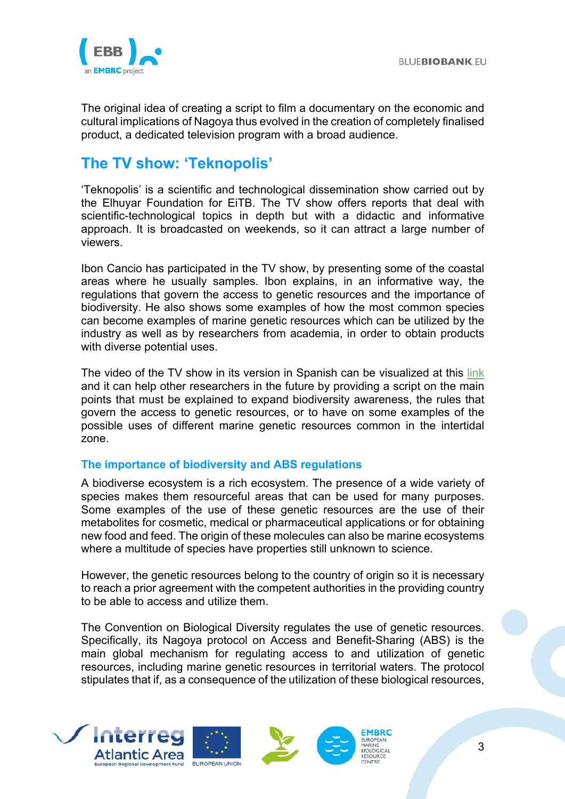

The original idea of creating a script to film a documentary on the economic and cultural implications of Nagoya thus evolved in the creation of completely finalised product, a dedicated television program with a broad audience.

### **The TV show: 'Teknopolis'**

'Teknopolis' is a scientific and technological dissemination show carried out by the Elhuyar Foundation for EiTB. The TV show offers reports that deal with scientific-technological topics in depth but with a didactic and informative approach. It is broadcasted on weekends, so it can attract a large number of viewers.

Ibon Cancio has participated in the TV show, by presenting some of the coastal areas where he usually samples. Ibon explains, in an informative way, the regulations that govern the access to genetic resources and the importance of biodiversity. He also shows some examples of how the most common species can become examples of marine genetic resources which can be utilized by the industry as well as by researchers from academia, in order to obtain products with diverse potential uses.

The video of the TV show in its version in Spanish can be visualized at this link and it can help other researchers in the future by providing a script on the main points that must be explained to expand biodiversity awareness, the rules that govern the access to genetic resources, or to have on some examples of the possible uses of different marine genetic resources common in the intertidal zone.

### **The importance of biodiversity and ABS regulations**

A biodiverse ecosystem is a rich ecosystem. The presence of a wide variety of species makes them resourceful areas that can be used for many purposes. Some examples of the use of these genetic resources are the use of their metabolites for cosmetic, medical or pharmaceutical applications or for obtaining new food and feed. The origin of these molecules can also be marine ecosystems where a multitude of species have properties still unknown to science.

However, the genetic resources belong to the country of origin so it is necessary to reach a prior agreement with the competent authorities in the providing country to be able to access and utilize them.

The Convention on Biological Diversity regulates the use of genetic resources. Specifically, its Nagoya protocol on Access and Benefit-Sharing (ABS) is the main global mechanism for regulating access to and utilization of genetic resources, including marine genetic resources in territorial waters. The protocol stipulates that if, as a consequence of the utilization of these biological resources,

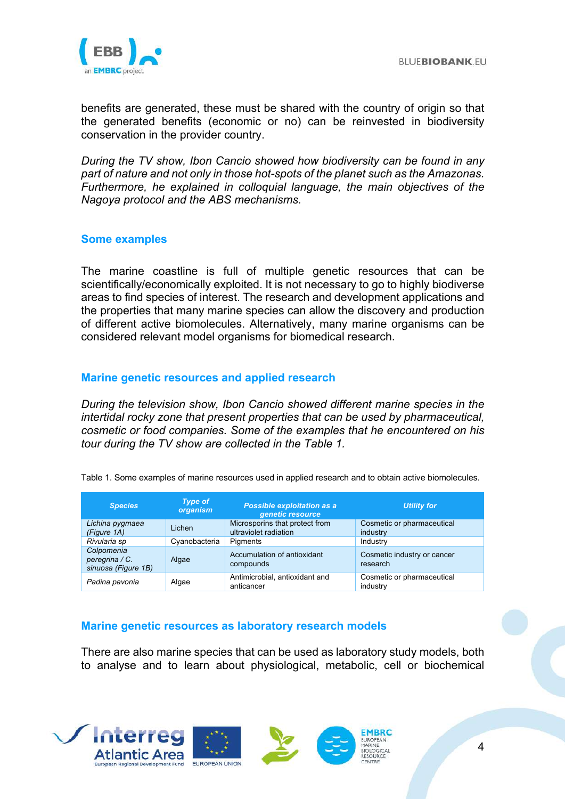

benefits are generated, these must be shared with the country of origin so that the generated benefits (economic or no) can be reinvested in biodiversity conservation in the provider country.

*During the TV show, Ibon Cancio showed how biodiversity can be found in any part of nature and not only in those hot-spots of the planet such as the Amazonas. Furthermore, he explained in colloquial language, the main objectives of the Nagoya protocol and the ABS mechanisms.*

### **Some examples**

The marine coastline is full of multiple genetic resources that can be scientifically/economically exploited. It is not necessary to go to highly biodiverse areas to find species of interest. The research and development applications and the properties that many marine species can allow the discovery and production of different active biomolecules. Alternatively, many marine organisms can be considered relevant model organisms for biomedical research.

### **Marine genetic resources and applied research**

*During the television show, Ibon Cancio showed different marine species in the intertidal rocky zone that present properties that can be used by pharmaceutical, cosmetic or food companies. Some of the examples that he encountered on his tour during the TV show are collected in the Table 1.*

| <b>Species</b>                                      | <b>Type of</b><br>organism | <b>Possible exploitation as a</b><br>genetic resource   | <b>Utility for</b>                      |
|-----------------------------------------------------|----------------------------|---------------------------------------------------------|-----------------------------------------|
| Lichina pygmaea<br>(Figure 1A)                      | Lichen                     | Microsporins that protect from<br>ultraviolet radiation | Cosmetic or pharmaceutical<br>industry  |
| Rivularia sp                                        | Cvanobacteria              | Pigments                                                | Industry                                |
| Colpomenia<br>peregrina / C.<br>sinuosa (Figure 1B) | Algae                      | Accumulation of antioxidant<br>compounds                | Cosmetic industry or cancer<br>research |
| Padina pavonia                                      | Algae                      | Antimicrobial, antioxidant and<br>anticancer            | Cosmetic or pharmaceutical<br>industry  |

Table 1. Some examples of marine resources used in applied research and to obtain active biomolecules.

#### **Marine genetic resources as laboratory research models**

There are also marine species that can be used as laboratory study models, both to analyse and to learn about physiological, metabolic, cell or biochemical

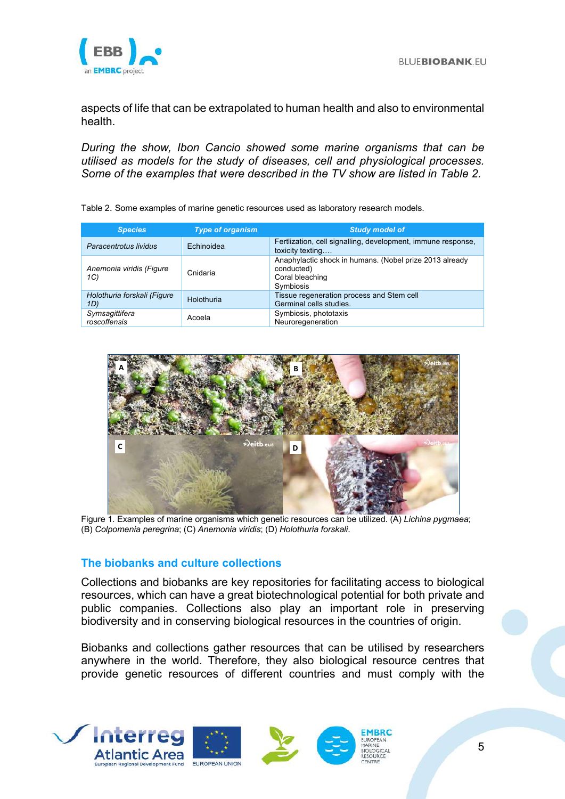

aspects of life that can be extrapolated to human health and also to environmental health.

*During the show, Ibon Cancio showed some marine organisms that can be utilised as models for the study of diseases, cell and physiological processes. Some of the examples that were described in the TV show are listed in Table 2.*

| Table 2. Some examples of marine genetic resources used as laboratory research models. |
|----------------------------------------------------------------------------------------|
|                                                                                        |

| <b>Species</b>                     | <b>Type of organism</b> | <b>Study model of</b>                                                                                 |
|------------------------------------|-------------------------|-------------------------------------------------------------------------------------------------------|
| Paracentrotus lividus              | Echinoidea              | Fertlization, cell signalling, development, immune response,<br>toxicity texting                      |
| Anemonia viridis (Figure<br>1C)    | Cnidaria                | Anaphylactic shock in humans. (Nobel prize 2013 already<br>conducted)<br>Coral bleaching<br>Symbiosis |
| Holothuria forskali (Figure<br>1D) | Holothuria              | Tissue regeneration process and Stem cell<br>Germinal cells studies.                                  |
| Symsagittifera<br>roscoffensis     | Acoela                  | Symbiosis, phototaxis<br>Neuroregeneration                                                            |



Figure 1. Examples of marine organisms which genetic resources can be utilized. (A) *Lichina pygmaea*; (B) *Colpomenia peregrina*; (C) *Anemonia viridis*; (D) *Holothuria forskali*.

#### **The biobanks and culture collections**

Collections and biobanks are key repositories for facilitating access to biological resources, which can have a great biotechnological potential for both private and public companies. Collections also play an important role in preserving biodiversity and in conserving biological resources in the countries of origin.

Biobanks and collections gather resources that can be utilised by researchers anywhere in the world. Therefore, they also biological resource centres that provide genetic resources of different countries and must comply with the